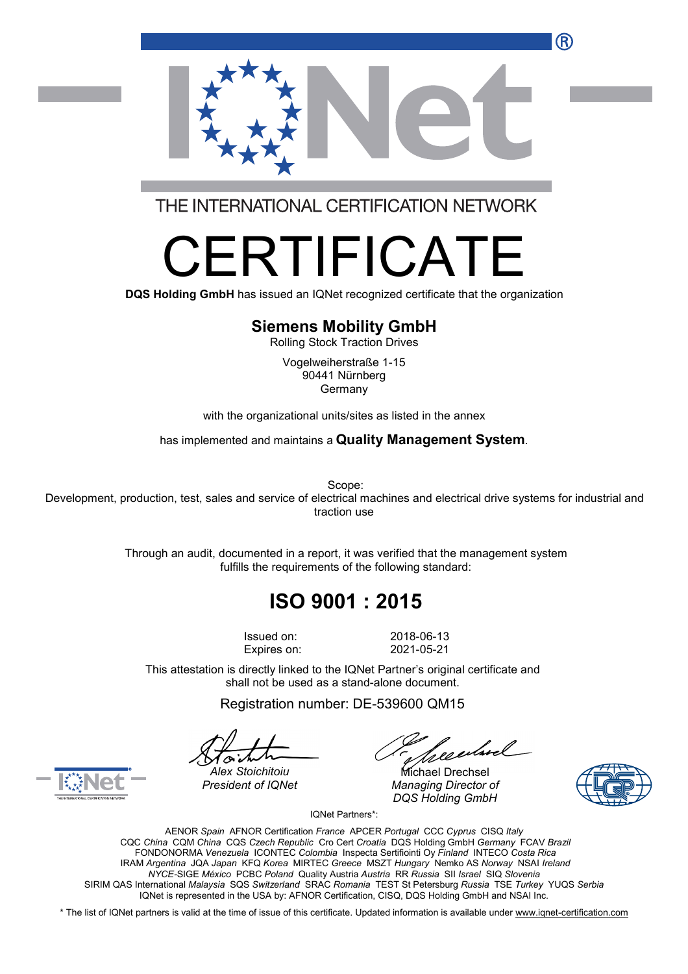

THE INTERNATIONAL CERTIFICATION NETWORK

# R I II-ICA

**DQS Holding GmbH** has issued an IQNet recognized certificate that the organization

#### **Siemens Mobility GmbH**

Rolling Stock Traction Drives

Vogelweiherstraße 1-15 90441 Nürnberg Germany

with the organizational units/sites as listed in the annex

has implemented and maintains a **Quality Management System**.

Scope:

Development, production, test, sales and service of electrical machines and electrical drive systems for industrial and traction use

> Through an audit, documented in a report, it was verified that the management system fulfills the requirements of the following standard:

## **ISO 9001 : 2015**

Expires on: 2021-05-21

Issued on: 2018-06-13

This attestation is directly linked to the IQNet Partner's original certificate and shall not be used as a stand-alone document.

Registration number: DE-539600 QM15

*President of IQNet Managing Director of DQS Holding GmbH*





*Alex Stoichitoiu* Michael Drechsel

IQNet Partners\*:

AENOR *Spain* AFNOR Certification *France* APCER *Portugal* CCC *Cyprus* CISQ *Italy* CQC *China* CQM *China* CQS *Czech Republic* Cro Cert *Croatia* DQS Holding GmbH *Germany* FCAV *Brazil* FONDONORMA *Venezuela* ICONTEC *Colombia* Inspecta Sertifiointi Oy *Finland* INTECO *Costa Rica* IRAM *Argentina* JQA *Japan* KFQ *Korea* MIRTEC *Greece* MSZT *Hungary* Nemko AS *Norway* NSAI *Ireland NYCE-*SIGE *México* PCBC *Poland* Quality Austria *Austria* RR *Russia* SII *Israel* SIQ *Slovenia* SIRIM QAS International *Malaysia* SQS *Switzerland* SRAC *Romania* TEST St Petersburg *Russia* TSE *Turkey* YUQS *Serbia* IQNet is represented in the USA by: AFNOR Certification, CISQ, DQS Holding GmbH and NSAI Inc.

\* The list of IQNet partners is valid at the time of issue of this certificate. Updated information is available under [www.iqnet-certification.com](http://www.iqnet-certification.com)